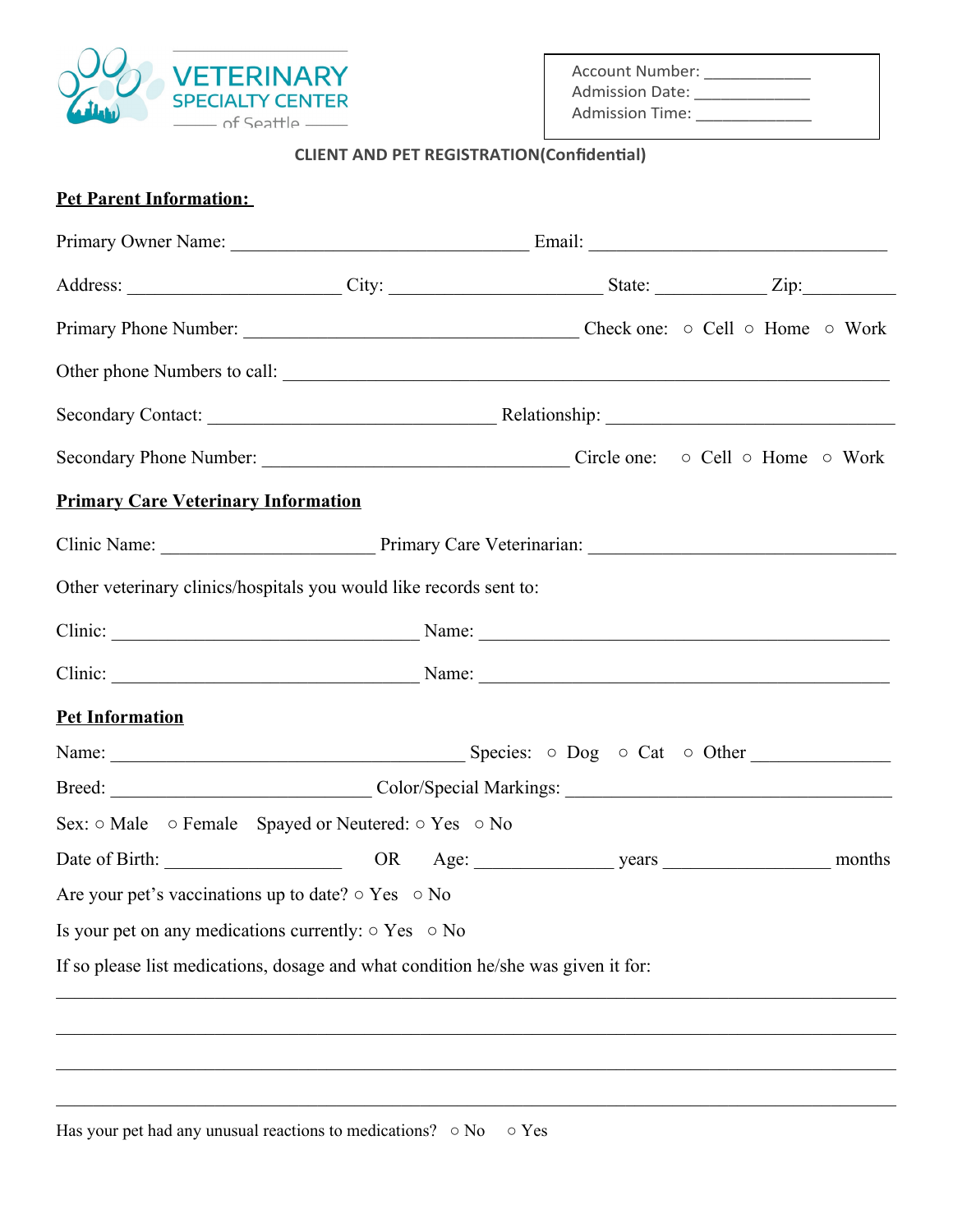

Account Number: \_\_\_\_\_\_\_\_\_\_\_\_ Admission Date: \_\_\_\_\_\_\_\_\_\_\_\_\_\_\_ Admission Time: \_\_\_\_\_\_\_\_\_\_\_\_\_\_\_

## **CLIENT AND PET REGISTRATION(Confidential)**

|  | <b>Pet Parent Information:</b> |  |
|--|--------------------------------|--|
|  |                                |  |

| <b>Primary Care Veterinary Information</b>                                                                                                                                                                                     |  |  |
|--------------------------------------------------------------------------------------------------------------------------------------------------------------------------------------------------------------------------------|--|--|
|                                                                                                                                                                                                                                |  |  |
| Other veterinary clinics/hospitals you would like records sent to:                                                                                                                                                             |  |  |
| Clinic: Name: Name: Name: Name: Name: Name: Name: Name: Name: Name: Name: Name: Name: Name: Name: Name: Name: Name: Name: Name: Name: Name: Name: Name: Name: Name: Name: Name: Name: Name: Name: Name: Name: Name: Name: Name |  |  |
| Clinic: Name: Name: Name: Name: Name: Name: Name: Name: Name: Name: Name: Name: Name: Name: Name: Name: Name: Name: Name: Name: Name: Name: Name: Name: Name: Name: Name: Name: Name: Name: Name: Name: Name: Name: Name: Name |  |  |
| <b>Pet Information</b>                                                                                                                                                                                                         |  |  |
|                                                                                                                                                                                                                                |  |  |
|                                                                                                                                                                                                                                |  |  |
| Sex: $\circ$ Male $\circ$ Female Spayed or Neutered: $\circ$ Yes $\circ$ No                                                                                                                                                    |  |  |
|                                                                                                                                                                                                                                |  |  |
| Are your pet's vaccinations up to date? $\circ$ Yes $\circ$ No                                                                                                                                                                 |  |  |
| Is your pet on any medications currently: $\circ$ Yes $\circ$ No                                                                                                                                                               |  |  |
| If so please list medications, dosage and what condition he/she was given it for:                                                                                                                                              |  |  |
|                                                                                                                                                                                                                                |  |  |
|                                                                                                                                                                                                                                |  |  |
|                                                                                                                                                                                                                                |  |  |